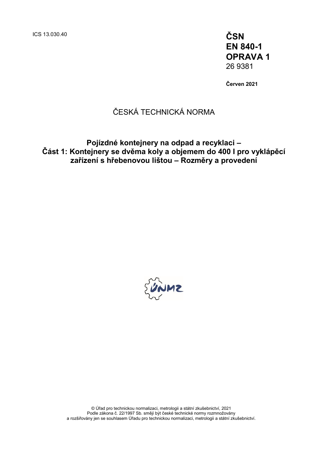ICS 13.030.40 **ČSN**

**EN 840-1 OPRAVA 1** 26 9381

**Červen 2021**

## ČESKÁ TECHNICKÁ NORMA

### **Pojízdné kontejnery na odpad a recyklaci – Část 1: Kontejnery se dvěma koly a objemem do 400 I pro vyklápěcí zařízení s hřebenovou lištou – Rozměry a provedení**

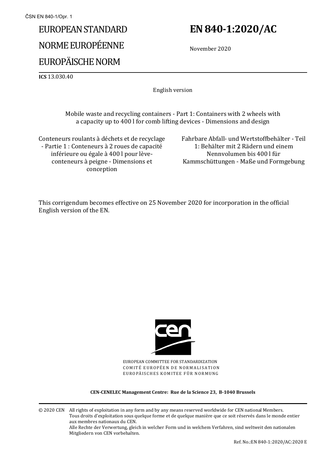# EUROPEAN STANDARD NORME EUROPÉENNE EUROPÄISCHE NORM

## **EN 840-1:2020/AC**

November 2020

**ICS** 13.030.40

English version

Mobile waste and recycling containers - Part 1: Containers with 2 wheels with a capacity up to 400 l for comb lifting devices - Dimensions and design

Conteneurs roulants à déchets et de recyclage - Partie 1 : Conteneurs à 2 roues de capacité inférieure ou égale à 400 l pour lèveconteneurs à peigne - Dimensions et conception

Fahrbare Abfall- und Wertstoffbehälter - Teil 1: Behälter mit 2 Rädern und einem Nennvolumen bis 400 l für Kammschüttungen - Maße und Formgebung

This corrigendum becomes effective on 25 November 2020 for incorporation in the official English version of the EN.



EUROPEAN COMMITTEE FOR STANDARDIZATION COMITÉ EUROPÉEN DE NORMALISATION EUROPÄISCHES KOMITEE FÜR NORMUNG

#### **CEN-CENELEC Management Centre: Rue de la Science 23, B-1040 Brussels**

© 2020 CEN All rights of exploitation in any form and by any means reserved worldwide for CEN national Members. Tous droits d'exploitation sous quelque forme et de quelque manière que ce soit réservés dans le monde entier aux membres nationaux du CEN. Alle Rechte der Verwertung, gleich in welcher Form und in welchem Verfahren, sind weltweit den nationalen Mitgliedern von CEN vorbehalten.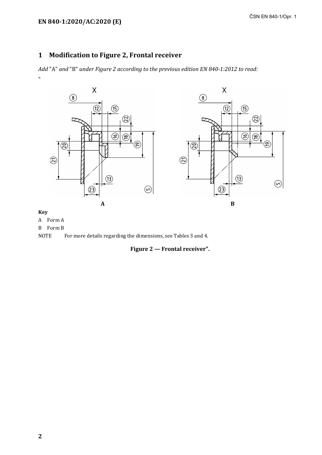### **1 Modification to Figure 2, Frontal receiver**

*Add* "A" *and* "B" *under Figure 2 according to the previous edition EN 840-1:2012 to read:* "



### **Key**

A Form A

B Form B

NOTE For more details regarding the dimensions, see Tables 3 and 4.

**Figure 2 — Frontal receiver".**